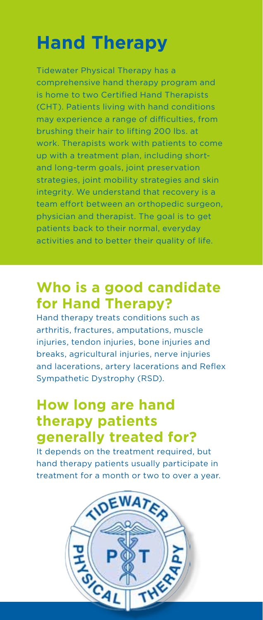# **Hand Therapy**

Tidewater Physical Therapy has a comprehensive hand therapy program and is home to two Certified Hand Therapists (CHT). Patients living with hand conditions may experience a range of difficulties, from brushing their hair to lifting 200 lbs. at work. Therapists work with patients to come up with a treatment plan, including shortand long-term goals, joint preservation strategies, joint mobility strategies and skin integrity. We understand that recovery is a team effort between an orthopedic surgeon, physician and therapist. The goal is to get patients back to their normal, everyday activities and to better their quality of life.

# **Who is a good candidate for Hand Therapy?**

Hand therapy treats conditions such as arthritis, fractures, amputations, muscle injuries, tendon injuries, bone injuries and breaks, agricultural injuries, nerve injuries and lacerations, artery lacerations and Reflex Sympathetic Dystrophy (RSD).

# **How long are hand therapy patients generally treated for?**

It depends on the treatment required, but hand therapy patients usually participate in treatment for a month or two to over a year.